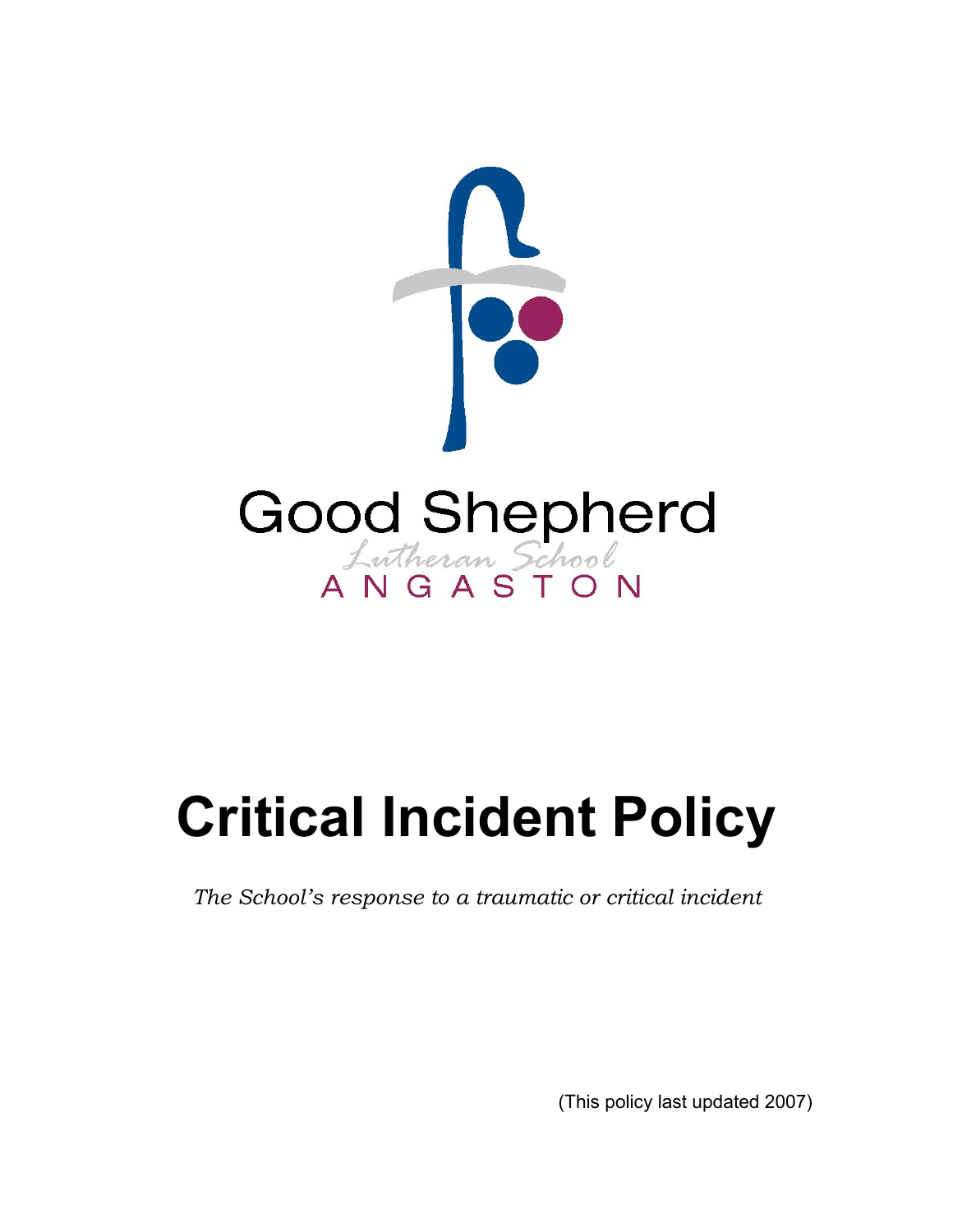

# **Critical Incident Policy**

*The School's response to a traumatic or critical incident*

(This policy last updated 2007)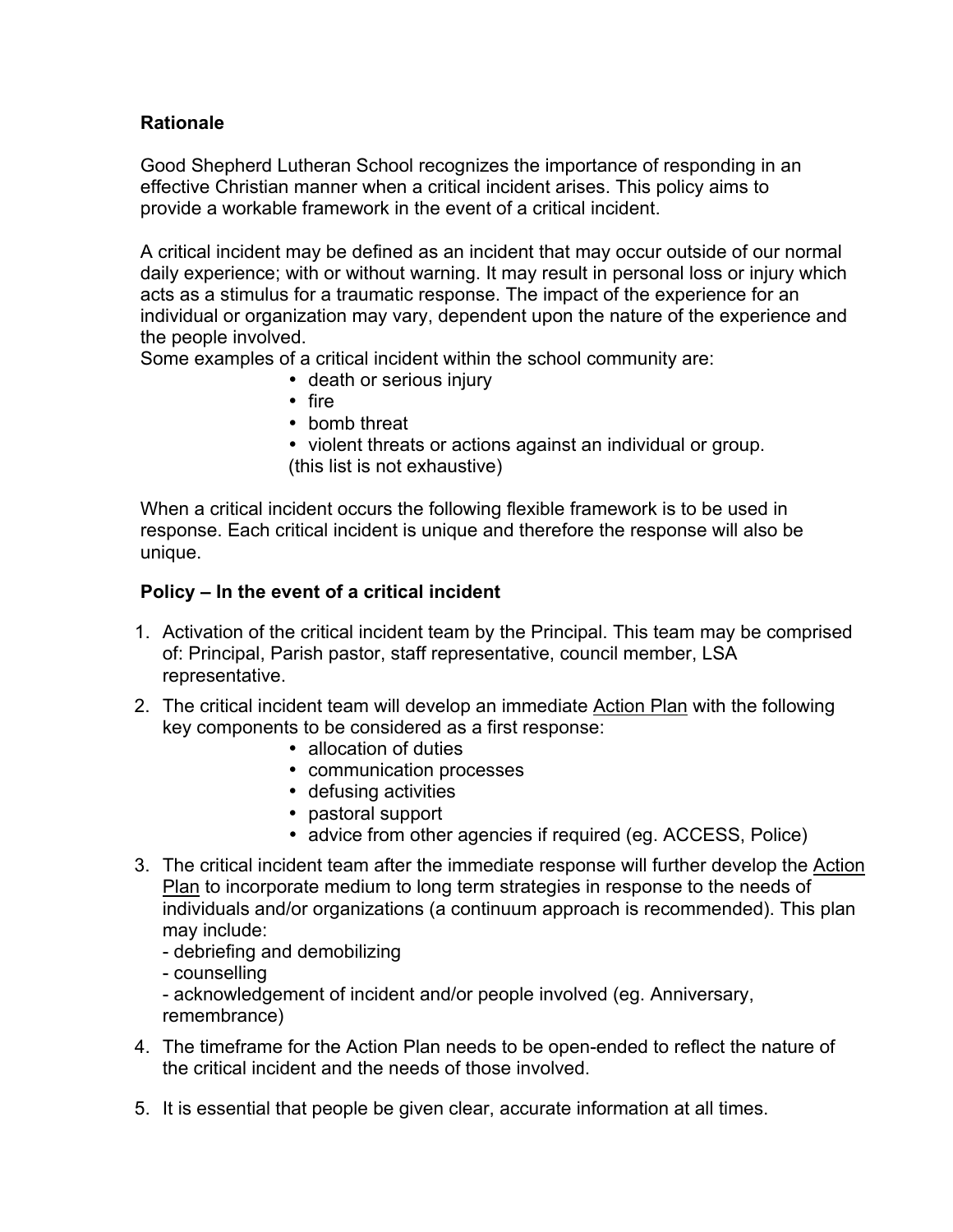# **Rationale**

Good Shepherd Lutheran School recognizes the importance of responding in an effective Christian manner when a critical incident arises. This policy aims to provide a workable framework in the event of a critical incident.

A critical incident may be defined as an incident that may occur outside of our normal daily experience; with or without warning. It may result in personal loss or injury which acts as a stimulus for a traumatic response. The impact of the experience for an individual or organization may vary, dependent upon the nature of the experience and the people involved.

Some examples of a critical incident within the school community are:

- death or serious injury
- fire
- bomb threat
- violent threats or actions against an individual or group. (this list is not exhaustive)

When a critical incident occurs the following flexible framework is to be used in response. Each critical incident is unique and therefore the response will also be unique.

## **Policy – In the event of a critical incident**

- 1. Activation of the critical incident team by the Principal. This team may be comprised of: Principal, Parish pastor, staff representative, council member, LSA representative.
- 2. The critical incident team will develop an immediate Action Plan with the following key components to be considered as a first response:
	- allocation of duties
	- communication processes
	- defusing activities
	- pastoral support
	- advice from other agencies if required (eg. ACCESS, Police)
- 3. The critical incident team after the immediate response will further develop the Action Plan to incorporate medium to long term strategies in response to the needs of individuals and/or organizations (a continuum approach is recommended). This plan may include:
	- debriefing and demobilizing
	- counselling

- acknowledgement of incident and/or people involved (eg. Anniversary, remembrance)

- 4. The timeframe for the Action Plan needs to be open-ended to reflect the nature of the critical incident and the needs of those involved.
- 5. It is essential that people be given clear, accurate information at all times.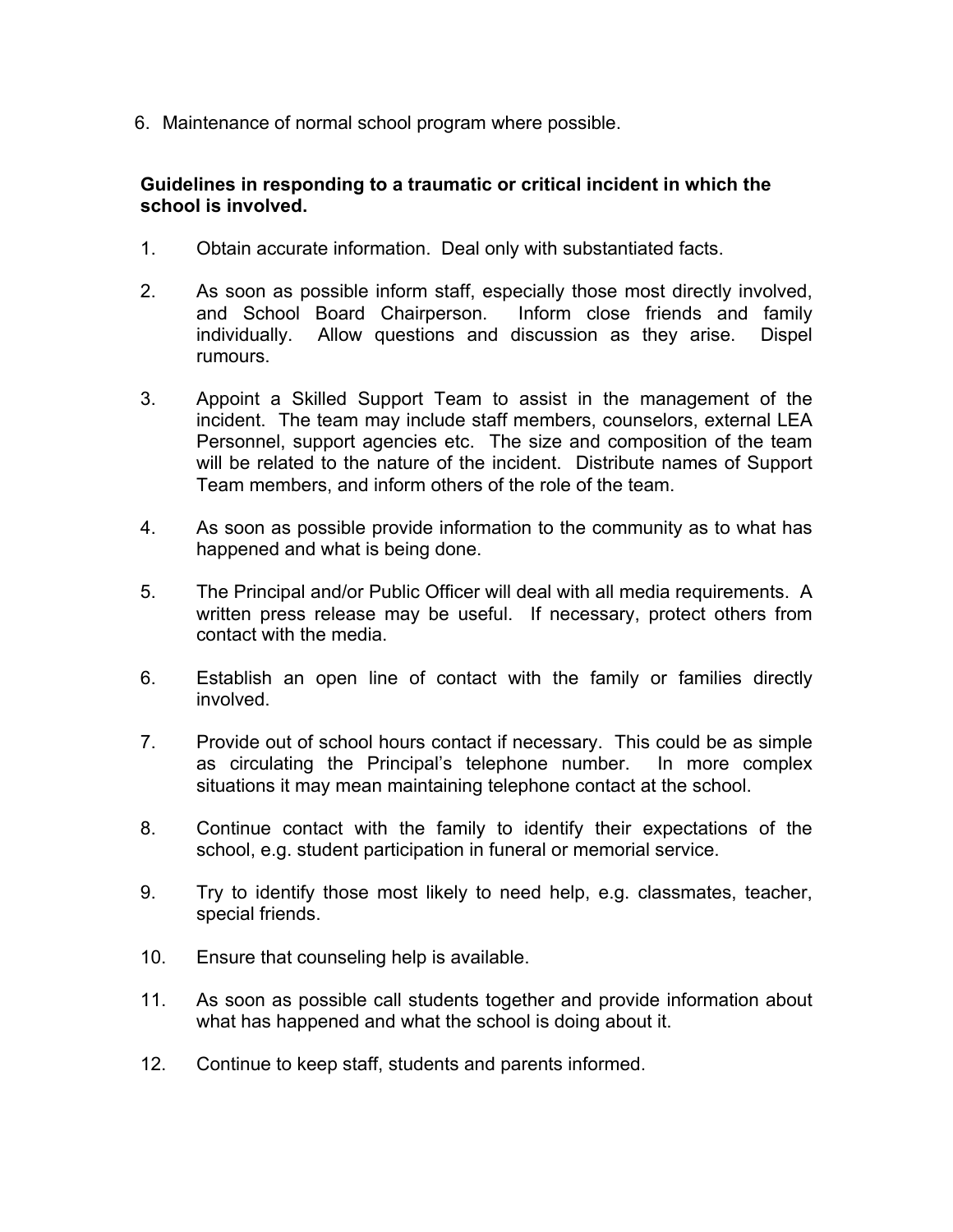6. Maintenance of normal school program where possible.

## **Guidelines in responding to a traumatic or critical incident in which the school is involved.**

- 1. Obtain accurate information. Deal only with substantiated facts.
- 2. As soon as possible inform staff, especially those most directly involved, and School Board Chairperson. Inform close friends and family individually. Allow questions and discussion as they arise. Dispel rumours.
- 3. Appoint a Skilled Support Team to assist in the management of the incident. The team may include staff members, counselors, external LEA Personnel, support agencies etc. The size and composition of the team will be related to the nature of the incident. Distribute names of Support Team members, and inform others of the role of the team.
- 4. As soon as possible provide information to the community as to what has happened and what is being done.
- 5. The Principal and/or Public Officer will deal with all media requirements. A written press release may be useful. If necessary, protect others from contact with the media.
- 6. Establish an open line of contact with the family or families directly involved.
- 7. Provide out of school hours contact if necessary. This could be as simple as circulating the Principal's telephone number. In more complex situations it may mean maintaining telephone contact at the school.
- 8. Continue contact with the family to identify their expectations of the school, e.g. student participation in funeral or memorial service.
- 9. Try to identify those most likely to need help, e.g. classmates, teacher, special friends.
- 10. Ensure that counseling help is available.
- 11. As soon as possible call students together and provide information about what has happened and what the school is doing about it.
- 12. Continue to keep staff, students and parents informed.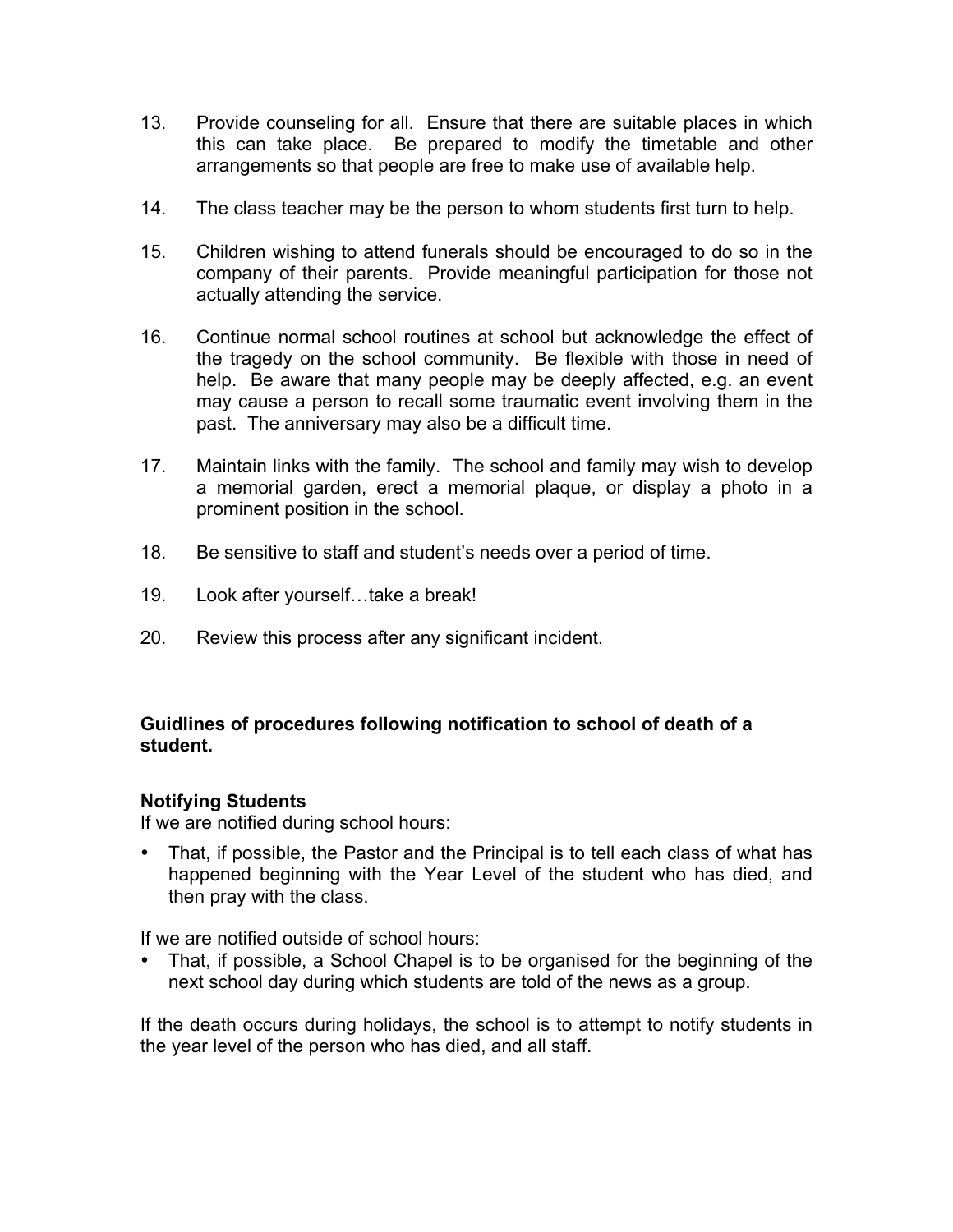- 13. Provide counseling for all. Ensure that there are suitable places in which this can take place. Be prepared to modify the timetable and other arrangements so that people are free to make use of available help.
- 14. The class teacher may be the person to whom students first turn to help.
- 15. Children wishing to attend funerals should be encouraged to do so in the company of their parents. Provide meaningful participation for those not actually attending the service.
- 16. Continue normal school routines at school but acknowledge the effect of the tragedy on the school community. Be flexible with those in need of help. Be aware that many people may be deeply affected, e.g. an event may cause a person to recall some traumatic event involving them in the past. The anniversary may also be a difficult time.
- 17. Maintain links with the family. The school and family may wish to develop a memorial garden, erect a memorial plaque, or display a photo in a prominent position in the school.
- 18. Be sensitive to staff and student's needs over a period of time.
- 19. Look after yourself…take a break!
- 20. Review this process after any significant incident.

# **Guidlines of procedures following notification to school of death of a student.**

### **Notifying Students**

If we are notified during school hours:

• That, if possible, the Pastor and the Principal is to tell each class of what has happened beginning with the Year Level of the student who has died, and then pray with the class.

If we are notified outside of school hours:

• That, if possible, a School Chapel is to be organised for the beginning of the next school day during which students are told of the news as a group.

If the death occurs during holidays, the school is to attempt to notify students in the year level of the person who has died, and all staff.